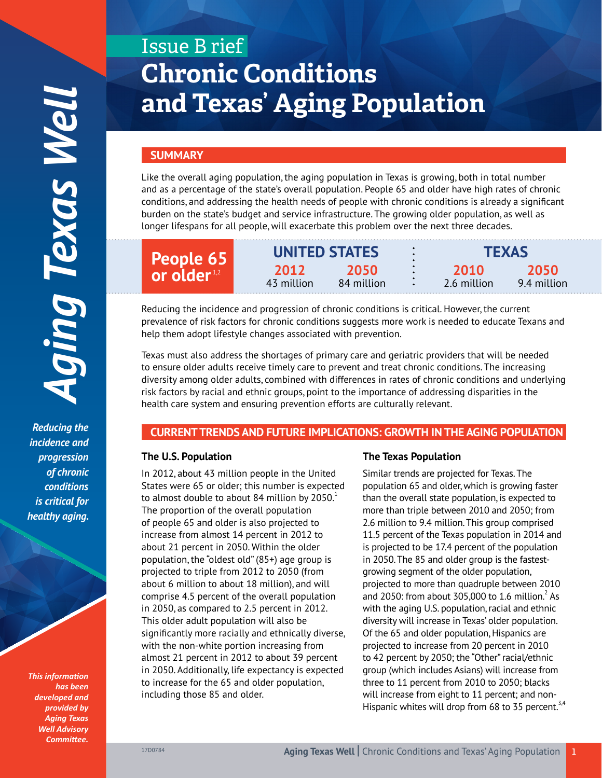*Reducing the incidence and progression of chronic conditions is critical for healthy aging.*

*This information has been developed and provided by Aging Texas Well Advisory Committee.*

# Issue B rief **Chronic Conditions and Texas' Aging Population**

# **SUMMARY**

Like the overall aging population, the aging population in Texas is growing, both in total number and as a percentage of the state's overall population. People 65 and older have high rates of chronic conditions, and addressing the health needs of people with chronic conditions is already a significant burden on the state's budget and service infrastructure. The growing older population, as well as longer lifespans for all people, will exacerbate this problem over the next three decades.

| People 65<br>or older <sup>1,2</sup> |                    | <b>UNITED STATES</b> |  | <b>TEXAS</b>        |                     |
|--------------------------------------|--------------------|----------------------|--|---------------------|---------------------|
|                                      | 2012<br>43 million | 2050<br>84 million   |  | 2010<br>2.6 million | 2050<br>9.4 million |

Reducing the incidence and progression of chronic conditions is critical. However, the current prevalence of risk factors for chronic conditions suggests more work is needed to educate Texans and help them adopt lifestyle changes associated with prevention.

Texas must also address the shortages of primary care and geriatric providers that will be needed to ensure older adults receive timely care to prevent and treat chronic conditions. The increasing diversity among older adults, combined with differences in rates of chronic conditions and underlying risk factors by racial and ethnic groups, point to the importance of addressing disparities in the health care system and ensuring prevention efforts are culturally relevant.

## **CURRENT TRENDS AND FUTURE IMPLICATIONS: GROWTH IN THE AGING POPULATION**

#### **The U.S. Population**

In 2012, about 43 million people in the United States were 65 or older; this number is expected to almost double to about 84 million by  $2050<sup>1</sup>$ The proportion of the overall population of people 65 and older is also projected to increase from almost 14 percent in 2012 to about 21 percent in 2050. Within the older population, the "oldest old" (85+) age group is projected to triple from 2012 to 2050 (from about 6 million to about 18 million), and will comprise 4.5 percent of the overall population in 2050, as compared to 2.5 percent in 2012. This older adult population will also be significantly more racially and ethnically diverse, with the non-white portion increasing from almost 21 percent in 2012 to about 39 percent in 2050. Additionally, life expectancy is expected to increase for the 65 and older population, including those 85 and older.

## **The Texas Population**

Similar trends are projected for Texas. The population 65 and older, which is growing faster than the overall state population, is expected to more than triple between 2010 and 2050; from 2.6 million to 9.4 million. This group comprised 11.5 percent of the Texas population in 2014 and is projected to be 17.4 percent of the population in 2050. The 85 and older group is the fastestgrowing segment of the older population, projected to more than quadruple between 2010 and 2050: from about 305,000 to 1.6 million. $^2$  As with the aging U.S. population, racial and ethnic diversity will increase in Texas' older population. Of the 65 and older population, Hispanics are projected to increase from 20 percent in 2010 to 42 percent by 2050; the "Other" racial/ethnic group (which includes Asians) will increase from three to 11 percent from 2010 to 2050; blacks will increase from eight to 11 percent; and non-Hispanic whites will drop from 68 to 35 percent.<sup>3,4</sup>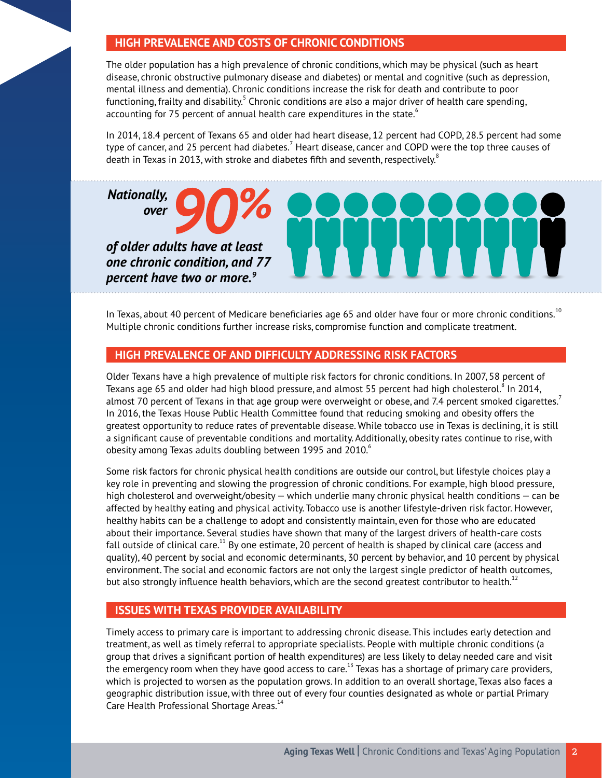# **HIGH PREVALENCE AND COSTS OF CHRONIC CONDITIONS**

The older population has a high prevalence of chronic conditions, which may be physical (such as heart disease, chronic obstructive pulmonary disease and diabetes) or mental and cognitive (such as depression, mental illness and dementia). Chronic conditions increase the risk for death and contribute to poor functioning, frailty and disability. $^5$  Chronic conditions are also a major driver of health care spending, accounting for 75 percent of annual health care expenditures in the state. $6$ 

In 2014, 18.4 percent of Texans 65 and older had heart disease, 12 percent had COPD, 28.5 percent had some type of cancer, and 25 percent had diabetes. $^7$  Heart disease, cancer and COPD were the top three causes of death in Texas in 2013, with stroke and diabetes fifth and seventh, respectively. $^8$ 

## *Nationally, over*

*of older adults have at least one chronic condition, and 77 percent have two or more.9*



In Texas, about 40 percent of Medicare beneficiaries age 65 and older have four or more chronic conditions.<sup>10</sup> Multiple chronic conditions further increase risks, compromise function and complicate treatment.

## **HIGH PREVALENCE OF AND DIFFICULTY ADDRESSING RISK FACTORS**

Older Texans have a high prevalence of multiple risk factors for chronic conditions. In 2007, 58 percent of Texans age 65 and older had high blood pressure, and almost 55 percent had high cholesterol. $^8$  In 2014, almost 70 percent of Texans in that age group were overweight or obese, and 7.4 percent smoked cigarettes.<sup>7</sup> In 2016, the Texas House Public Health Committee found that reducing smoking and obesity offers the greatest opportunity to reduce rates of preventable disease. While tobacco use in Texas is declining, it is still a significant cause of preventable conditions and mortality. Additionally, obesity rates continue to rise, with obesity among Texas adults doubling between 1995 and 2010. $^6$ 

Some risk factors for chronic physical health conditions are outside our control, but lifestyle choices play a key role in preventing and slowing the progression of chronic conditions. For example, high blood pressure, high cholesterol and overweight/obesity — which underlie many chronic physical health conditions — can be affected by healthy eating and physical activity. Tobacco use is another lifestyle-driven risk factor. However, healthy habits can be a challenge to adopt and consistently maintain, even for those who are educated about their importance. Several studies have shown that many of the largest drivers of health-care costs fall outside of clinical care.<sup>11</sup> By one estimate, 20 percent of health is shaped by clinical care (access and quality), 40 percent by social and economic determinants, 30 percent by behavior, and 10 percent by physical environment. The social and economic factors are not only the largest single predictor of health outcomes, but also strongly influence health behaviors, which are the second greatest contributor to health.<sup>12</sup>

# **ISSUES WITH TEXAS PROVIDER AVAILABILITY**

Timely access to primary care is important to addressing chronic disease. This includes early detection and treatment, as well as timely referral to appropriate specialists. People with multiple chronic conditions (a group that drives a significant portion of health expenditures) are less likely to delay needed care and visit the emergency room when they have good access to care.<sup>13</sup> Texas has a shortage of primary care providers, which is projected to worsen as the population grows. In addition to an overall shortage, Texas also faces a geographic distribution issue, with three out of every four counties designated as whole or partial Primary Care Health Professional Shortage Areas.<sup>14</sup>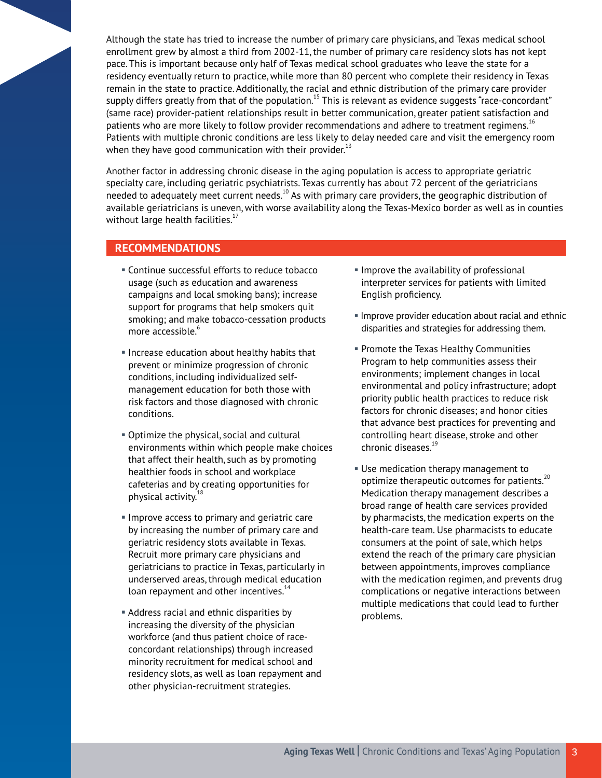Although the state has tried to increase the number of primary care physicians, and Texas medical school enrollment grew by almost a third from 2002-11, the number of primary care residency slots has not kept pace. This is important because only half of Texas medical school graduates who leave the state for a residency eventually return to practice, while more than 80 percent who complete their residency in Texas remain in the state to practice. Additionally, the racial and ethnic distribution of the primary care provider supply differs greatly from that of the population.<sup>15</sup> This is relevant as evidence suggests "race-concordant" (same race) provider-patient relationships result in better communication, greater patient satisfaction and patients who are more likely to follow provider recommendations and adhere to treatment regimens.<sup>16</sup> Patients with multiple chronic conditions are less likely to delay needed care and visit the emergency room when they have good communication with their provider.<sup>13</sup>

Another factor in addressing chronic disease in the aging population is access to appropriate geriatric specialty care, including geriatric psychiatrists. Texas currently has about 72 percent of the geriatricians needed to adequately meet current needs.<sup>10</sup> As with primary care providers, the geographic distribution of available geriatricians is uneven, with worse availability along the Texas-Mexico border as well as in counties without large health facilities.<sup>17</sup>

# **RECOMMENDATIONS**

- § Continue successful efforts to reduce tobacco usage (such as education and awareness campaigns and local smoking bans); increase support for programs that help smokers quit smoking; and make tobacco-cessation products more accessible.<sup>6</sup>
- § Increase education about healthy habits that prevent or minimize progression of chronic conditions, including individualized selfmanagement education for both those with risk factors and those diagnosed with chronic conditions.
- § Optimize the physical, social and cultural environments within which people make choices that affect their health, such as by promoting healthier foods in school and workplace cafeterias and by creating opportunities for physical activity.<sup>18</sup>
- **Improve access to primary and geriatric care** by increasing the number of primary care and geriatric residency slots available in Texas. Recruit more primary care physicians and geriatricians to practice in Texas, particularly in underserved areas, through medical education loan repayment and other incentives. $14$
- **Address racial and ethnic disparities by** increasing the diversity of the physician workforce (and thus patient choice of raceconcordant relationships) through increased minority recruitment for medical school and residency slots, as well as loan repayment and other physician-recruitment strategies.
- **Improve the availability of professional** interpreter services for patients with limited English proficiency.
- **Improve provider education about racial and ethnic** disparities and strategies for addressing them.
- § Promote the Texas Healthy Communities Program to help communities assess their environments; implement changes in local environmental and policy infrastructure; adopt priority public health practices to reduce risk factors for chronic diseases; and honor cities that advance best practices for preventing and controlling heart disease, stroke and other chronic diseases.<sup>19</sup>
- **Use medication therapy management to** optimize therapeutic outcomes for patients.<sup>20</sup> Medication therapy management describes a broad range of health care services provided by pharmacists, the medication experts on the health-care team. Use pharmacists to educate consumers at the point of sale, which helps extend the reach of the primary care physician between appointments, improves compliance with the medication regimen, and prevents drug complications or negative interactions between multiple medications that could lead to further problems.